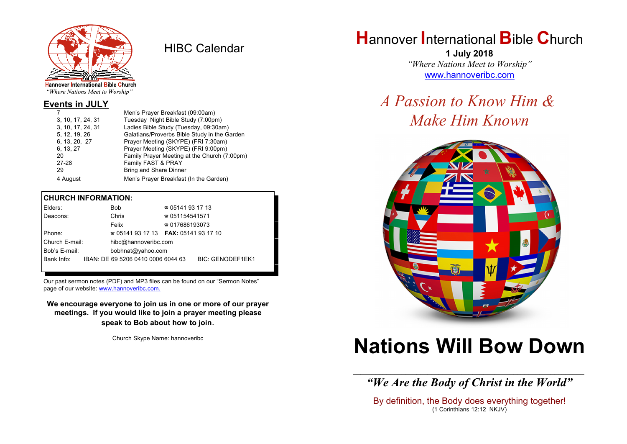

HIBC Calendar

"Where Nations Meet to Worship"

#### **Events in JULY**

| Men's Prayer Breakfast (09:00am)             |  |  |
|----------------------------------------------|--|--|
| Tuesday Night Bible Study (7:00pm)           |  |  |
| Ladies Bible Study (Tuesday, 09:30am)        |  |  |
| Galatians/Proverbs Bible Study in the Garden |  |  |
| Prayer Meeting (SKYPE) (FRI 7:30am)          |  |  |
| Prayer Meeting (SKYPE) (FRI 9:00pm)          |  |  |
| Family Prayer Meeting at the Church (7:00pm) |  |  |
| Family FAST & PRAY                           |  |  |
| Bring and Share Dinner                       |  |  |
| Men's Prayer Breakfast (In the Garden)       |  |  |
|                                              |  |  |

#### **CHURCH INFORMATION:**

| Elders:        | <b>Bob</b>                               | $\approx 05141931713$  |                         |
|----------------|------------------------------------------|------------------------|-------------------------|
| Deacons:       | Chris                                    | $\approx 051154541571$ |                         |
|                | Felix                                    | $\approx 017686193073$ |                         |
| Phone:         | $\approx 05141931713$ FAX: 0514193 17 10 |                        |                         |
| Church E-mail: | hibc@hannoveribc.com                     |                        |                         |
| Bob's E-mail:  | bobhnat@yahoo.com                        |                        |                         |
| Bank Info:     | IBAN: DE 69 5206 0410 0006 6044 63       |                        | <b>BIC: GENODEF1EK1</b> |
|                |                                          |                        |                         |

Our past sermon notes (PDF) and MP3 files can be found on our "Sermon Notes" page of our website: [www.hannoveribc.com.](http://www.hannoveribc.com.)

**We encourage everyone to join us in one or more of our prayer meetings. If you would like to join a prayer meeting please speak to Bob about how to join**.

Church Skype Name: hannoveribc

## **H**annover **I**nternational **B**ible **C**hurch

**1 July 2018** *"Where Nations Meet to Worship"* [www.hannoveribc.com](http://www.hannoveribc.com)

## *A Passion to Know Him & Make Him Known*



# **Nations Will Bow Down**

\_\_\_\_\_\_\_\_\_\_\_\_\_\_\_\_\_\_\_\_\_\_\_\_\_\_\_\_\_\_\_\_\_\_\_\_\_\_\_\_\_\_\_\_\_\_\_\_\_\_\_\_\_\_\_\_\_\_\_\_\_\_ *"We Are the Body of Christ in the World"*

By definition, the Body does everything together! (1 Corinthians 12:12 NKJV)